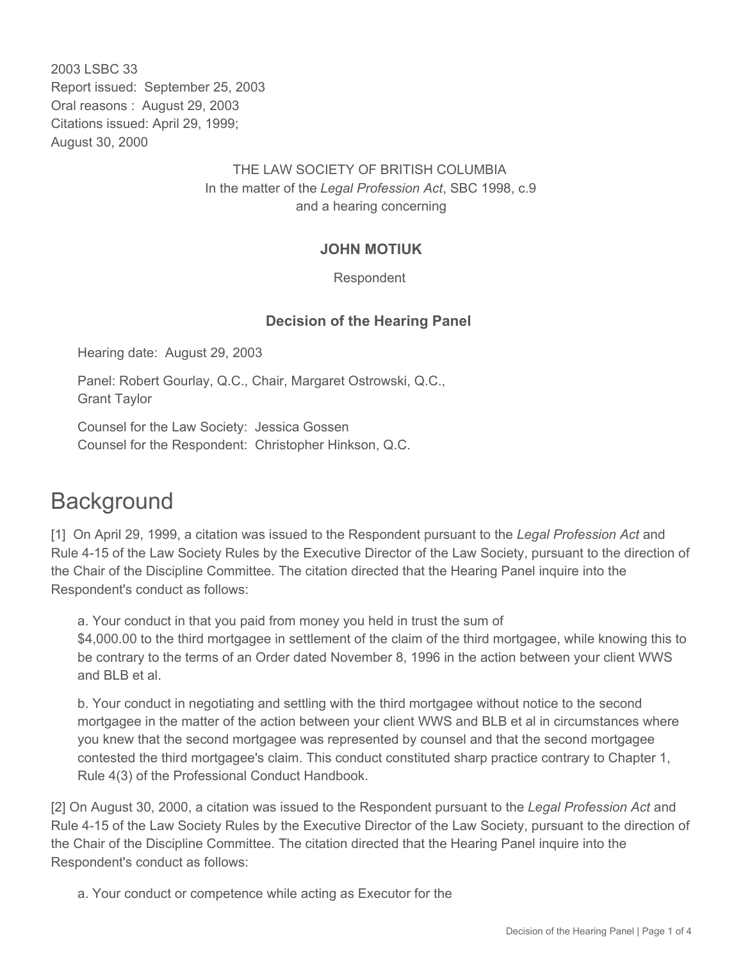2003 LSBC 33 Report issued: September 25, 2003 Oral reasons : August 29, 2003 Citations issued: April 29, 1999; August 30, 2000

## THE LAW SOCIETY OF BRITISH COLUMBIA In the matter of the *Legal Profession Act*, SBC 1998, c.9 and a hearing concerning

## **JOHN MOTIUK**

#### Respondent

#### **Decision of the Hearing Panel**

Hearing date: August 29, 2003

Panel: Robert Gourlay, Q.C., Chair, Margaret Ostrowski, Q.C., Grant Taylor

Counsel for the Law Society: Jessica Gossen Counsel for the Respondent: Christopher Hinkson, Q.C.

# **Background**

[1] On April 29, 1999, a citation was issued to the Respondent pursuant to the *Legal Profession Act* and Rule 4-15 of the Law Society Rules by the Executive Director of the Law Society, pursuant to the direction of the Chair of the Discipline Committee. The citation directed that the Hearing Panel inquire into the Respondent's conduct as follows:

a. Your conduct in that you paid from money you held in trust the sum of \$4,000.00 to the third mortgagee in settlement of the claim of the third mortgagee, while knowing this to be contrary to the terms of an Order dated November 8, 1996 in the action between your client WWS and BLB et al.

b. Your conduct in negotiating and settling with the third mortgagee without notice to the second mortgagee in the matter of the action between your client WWS and BLB et al in circumstances where you knew that the second mortgagee was represented by counsel and that the second mortgagee contested the third mortgagee's claim. This conduct constituted sharp practice contrary to Chapter 1, Rule 4(3) of the Professional Conduct Handbook.

[2] On August 30, 2000, a citation was issued to the Respondent pursuant to the *Legal Profession Act* and Rule 4-15 of the Law Society Rules by the Executive Director of the Law Society, pursuant to the direction of the Chair of the Discipline Committee. The citation directed that the Hearing Panel inquire into the Respondent's conduct as follows:

a. Your conduct or competence while acting as Executor for the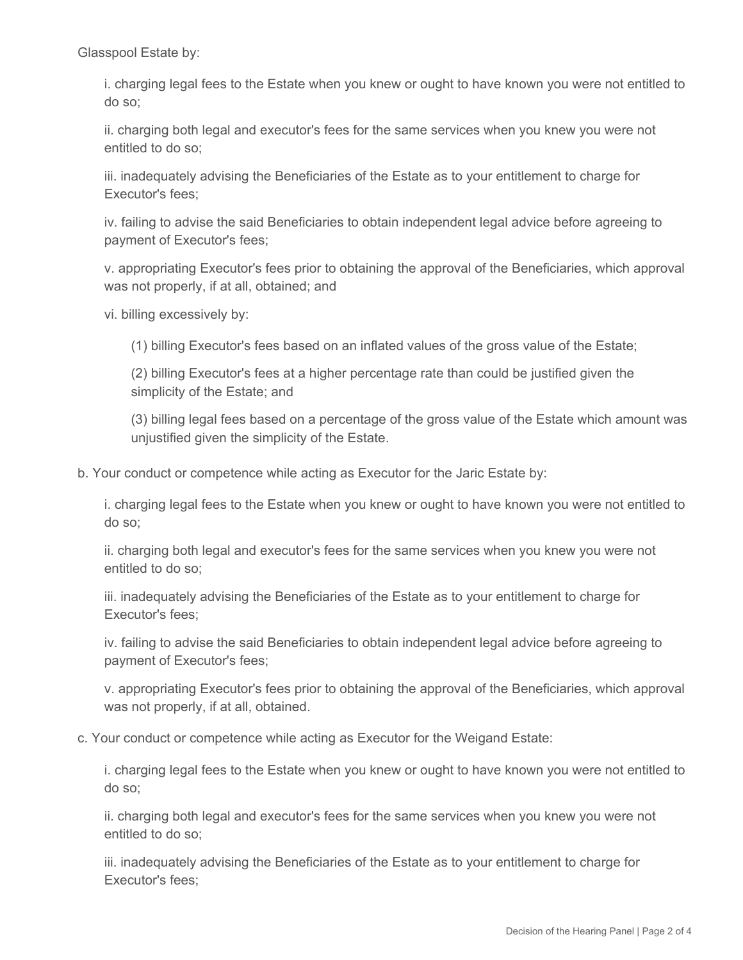Glasspool Estate by:

i. charging legal fees to the Estate when you knew or ought to have known you were not entitled to do so;

ii. charging both legal and executor's fees for the same services when you knew you were not entitled to do so;

iii. inadequately advising the Beneficiaries of the Estate as to your entitlement to charge for Executor's fees;

iv. failing to advise the said Beneficiaries to obtain independent legal advice before agreeing to payment of Executor's fees;

v. appropriating Executor's fees prior to obtaining the approval of the Beneficiaries, which approval was not properly, if at all, obtained; and

vi. billing excessively by:

(1) billing Executor's fees based on an inflated values of the gross value of the Estate;

(2) billing Executor's fees at a higher percentage rate than could be justified given the simplicity of the Estate; and

(3) billing legal fees based on a percentage of the gross value of the Estate which amount was unjustified given the simplicity of the Estate.

b. Your conduct or competence while acting as Executor for the Jaric Estate by:

i. charging legal fees to the Estate when you knew or ought to have known you were not entitled to do so;

ii. charging both legal and executor's fees for the same services when you knew you were not entitled to do so;

iii. inadequately advising the Beneficiaries of the Estate as to your entitlement to charge for Executor's fees;

iv. failing to advise the said Beneficiaries to obtain independent legal advice before agreeing to payment of Executor's fees;

v. appropriating Executor's fees prior to obtaining the approval of the Beneficiaries, which approval was not properly, if at all, obtained.

c. Your conduct or competence while acting as Executor for the Weigand Estate:

i. charging legal fees to the Estate when you knew or ought to have known you were not entitled to do so;

ii. charging both legal and executor's fees for the same services when you knew you were not entitled to do so;

iii. inadequately advising the Beneficiaries of the Estate as to your entitlement to charge for Executor's fees;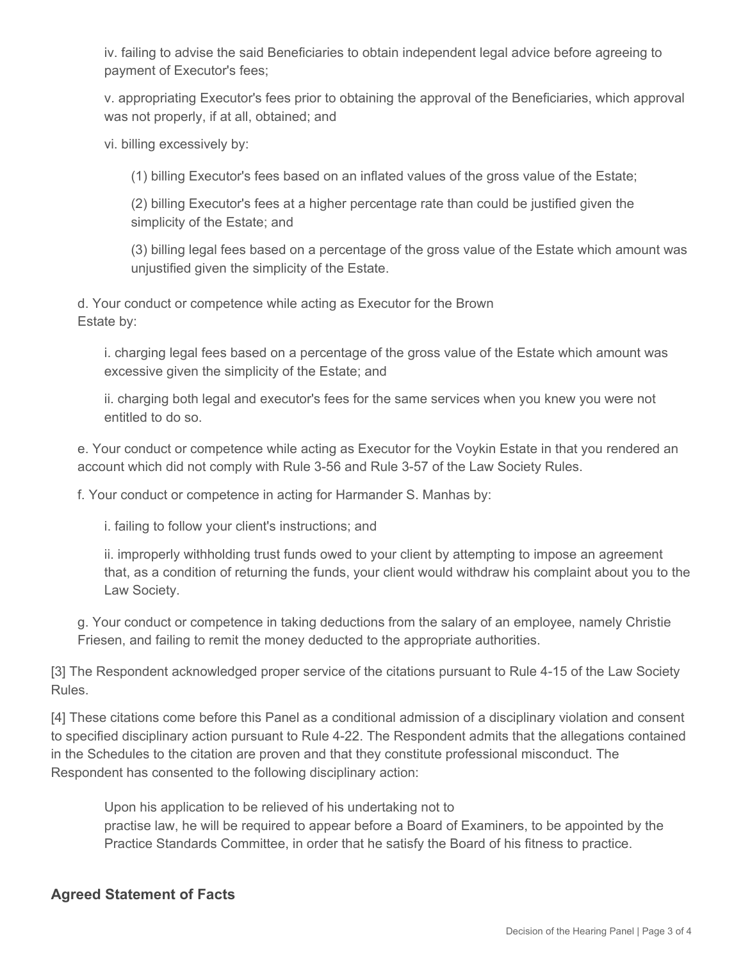iv. failing to advise the said Beneficiaries to obtain independent legal advice before agreeing to payment of Executor's fees;

v. appropriating Executor's fees prior to obtaining the approval of the Beneficiaries, which approval was not properly, if at all, obtained; and

vi. billing excessively by:

(1) billing Executor's fees based on an inflated values of the gross value of the Estate;

(2) billing Executor's fees at a higher percentage rate than could be justified given the simplicity of the Estate; and

(3) billing legal fees based on a percentage of the gross value of the Estate which amount was unjustified given the simplicity of the Estate.

d. Your conduct or competence while acting as Executor for the Brown Estate by:

i. charging legal fees based on a percentage of the gross value of the Estate which amount was excessive given the simplicity of the Estate; and

ii. charging both legal and executor's fees for the same services when you knew you were not entitled to do so.

e. Your conduct or competence while acting as Executor for the Voykin Estate in that you rendered an account which did not comply with Rule 3-56 and Rule 3-57 of the Law Society Rules.

f. Your conduct or competence in acting for Harmander S. Manhas by:

i. failing to follow your client's instructions; and

ii. improperly withholding trust funds owed to your client by attempting to impose an agreement that, as a condition of returning the funds, your client would withdraw his complaint about you to the Law Society.

g. Your conduct or competence in taking deductions from the salary of an employee, namely Christie Friesen, and failing to remit the money deducted to the appropriate authorities.

[3] The Respondent acknowledged proper service of the citations pursuant to Rule 4-15 of the Law Society Rules.

[4] These citations come before this Panel as a conditional admission of a disciplinary violation and consent to specified disciplinary action pursuant to Rule 4-22. The Respondent admits that the allegations contained in the Schedules to the citation are proven and that they constitute professional misconduct. The Respondent has consented to the following disciplinary action:

Upon his application to be relieved of his undertaking not to practise law, he will be required to appear before a Board of Examiners, to be appointed by the Practice Standards Committee, in order that he satisfy the Board of his fitness to practice.